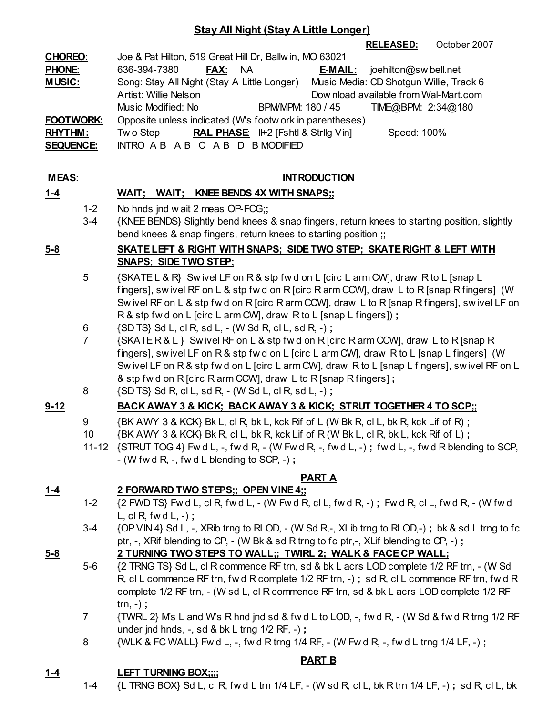#### Stay All Night (Stay A Little Longer)

RELEASED: October 2007 CHOREO: Joe & Pat Hilton, 519 Great Hill Dr, Ballw in, MO 63021 PHONE: 636-394-7380 FAX: NA E-MAIL: joehilton@sw bell.net MUSIC: Song: Stay All Night (Stay A Little Longer) Artist: Willie Nelson Music Media: CD Shotgun Willie, Track 6 Dow nload available from Wal-Mart.com Music Modified: No BPM/MPM: 180 / 45 TIME@BPM: 2:34@180 FOOTWORK: Opposite unless indicated (W's footw ork in parentheses) RHYTHM: Two Step RAL PHASE: II+2 [Fshtl & Strllg Vin] Speed: 100% SEQUENCE: INTRO A B A B C A B D B MODIFIED MEAS: INTRODUCTION 1-4 WAIT; WAIT; KNEE BENDS 4X WITH SNAPS;; 1-2 No hnds jnd w ait 2 meas OP-FCG;; 3-4 {KNEE BENDS} Slightly bend knees & snap fingers, return knees to starting position, slightly bend knees & snap fingers, return knees to starting position ;; 5-8 SKATE LEFT & RIGHT WITH SNAPS; SIDE TWO STEP; SKATE RIGHT & LEFT WITH SNAPS; SIDE TWO STEP; 5 {SKATE L & R} Sw ivel LF on R & stp fw d on L [circ L arm CW], draw R to L [snap L fingers], sw ivel RF on L & stp fw d on R [circ R arm CCW], draw L to R [snap R fingers] (W Sw ivel RF on L & stp fw d on R [circ R arm CCW], draw L to R [snap R fingers], sw ivel LF on R & stp fw d on L [circ L arm CW], draw R to L [snap L fingers]); 6  $\{SD TS\}$  Sd L, cl R, sd L,  $-(W Sd R, cL, sdR, -)$ ; 7 {SKATE R & L } Sw ivel RF on L & stp fw d on R [circ R arm CCW], draw L to R [snap R fingers], sw ivel LF on R & stp fw d on L [circ L arm CW], draw R to L [snap L fingers] (W Sw ivel LF on R & stp fw d on L [circ L arm CW], draw R to L [snap L fingers], sw ivel RF on L & stp fw d on R [circ R arm CCW], draw L to R [snap R fingers]; 8 {SD TS} Sd R, cl L, sd R, - (W Sd L, cl R, sd L, -) ; 9-12 BACK AWAY 3 & KICK; BACK AWAY 3 & KICK; STRUT TOGETHER 4 TO SCP;; 9 {BK AWY 3 & KCK} Bk L, cl R, bk L, kck Rif of L (W Bk R, cl L, bk R, kck Lif of R) ; 10  ${}_{\{BK\,AWY\,3\,8\,KCK\} \, Bk\,R, \,cI\,L, \,bK\,R, \,kck\,Li\,f\,of\,R\,W\,Bk\,L, \,cI\,R, \,bk\,L, \,kck\,Rif\,of\,L\,};$ 

 11-12 {STRUT TOG 4} Fw d L, -, fw d R, - (W Fw d R, -, fw d L, -) ; fw d L, -, fw d R blending to SCP,  $-$  (W fw d R,  $-$ , fw d L blending to SCP,  $-$ );

# **PART A**

# 1-4 2 FORWARD TWO STEPS;; OPEN VINE 4;;

- 1-2 {2 FWD TS} Fw d L, cl R, fw d L, (W Fw d R, cl L, fw d R, -) ; Fw d R, cl L, fw d R, (W fw d L, cl R, fw d L,  $-$ );
- 3-4 {OP VIN 4} Sd L, -, XRib trng to RLOD, (W Sd R,-, XLib trng to RLOD,-) ; bk & sd L trng to fc ptr, -, XRif blending to CP, - (W Bk & sd R trng to fc ptr,-, XLif blending to CP, -) ;

# 5-8 2 TURNING TWO STEPS TO WALL;; TWIRL 2; WALK & FACE CP WALL;

- 5-6 {2 TRNG TS} Sd L, cl R commence RF trn, sd & bk L acrs LOD complete 1/2 RF trn, (W Sd R, cl L commence RF trn, fw d R complete 1/2 RF trn, -) ; sd R, cl L commence RF trn, fw d R complete 1/2 RF trn, - (W sd L, cl R commence RF trn, sd & bk L acrs LOD complete 1/2 RF  $trn, -)$  ;
- 7 {TWRL 2} M's L and W's R hnd jnd sd & fw d L to LOD, -, fw d R, (W Sd & fw d R trng 1/2 RF under jnd hnds, -, sd & bk L trng 1/2 RF, -) ;
- 8 {WLK & FC WALL} Fw d L, -, fw d R trng 1/4 RF, (W Fw d R, -, fw d L trng 1/4 LF, -) ;

#### PART B

# 1-4 LEFT TURNING BOX;;;;

1-4 {L TRNG BOX} Sd L, cl R, fw d L trn 1/4 LF, - (W sd R, cl L, bk R trn 1/4 LF, -) ; sd R, cl L, bk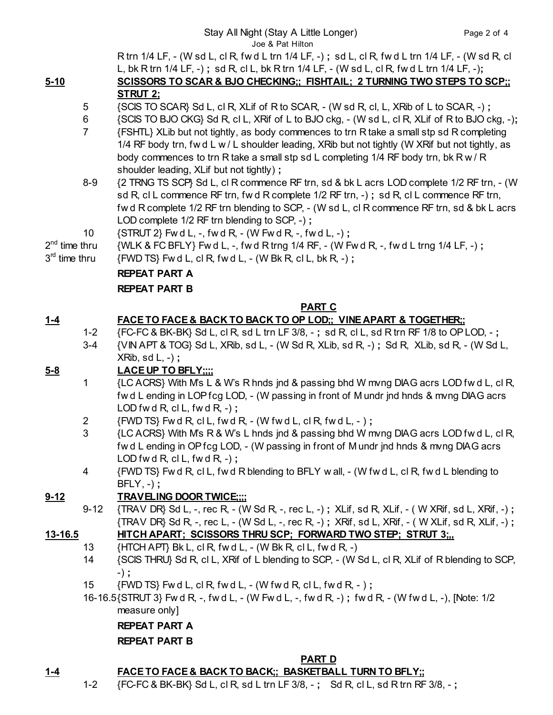Stay All Night (Stay A Little Longer) Page 2 of 4

Joe & Pat Hilton R trn 1/4 LF, - (W sd L, cl R, fw d L trn 1/4 LF, -) ; sd L, cl R, fw d L trn 1/4 LF, - (W sd R, cl L, bk R trn 1/4 LF,  $-$ ); sd R, cl L, bk R trn 1/4 LF,  $-$  (W sd L, cl R, fw d L trn 1/4 LF,  $-$ );

#### 5-10 SCISSORS TO SCAR & BJO CHECKING;; FISHTAIL; 2 TURNING TWO STEPS TO SCP;; STRUT 2;

- 5 {SCIS TO SCAR} Sd L, cl R, XLif of R to SCAR, (W sd R, cl, L, XRib of L to SCAR, -) ;
- 6 {SCIS TO BJO CKG} Sd R, cl L, XRif of L to BJO ckg, (W sd L, cl R, XLif of R to BJO ckg, -);
- 7 {FSHTL} XLib but not tightly, as body commences to trn R take a small stp sd R completing 1/4 RF body trn, fw d L w / L shoulder leading, XRib but not tightly (W XRif but not tightly, as body commences to trn R take a small stp sd L completing 1/4 RF body trn, bk R w / R shoulder leading, XLif but not tightly) ;
- 8-9 {2 TRNG TS SCP} Sd L, cl R commence RF trn, sd & bk L acrs LOD complete 1/2 RF trn, (W sd R, cl L commence RF trn, fw d R complete 1/2 RF trn, -); sd R, cl L commence RF trn, fw d R complete 1/2 RF trn blending to SCP, - (W sd L, cl R commence RF trn, sd & bk L acrs LOD complete 1/2 RF trn blending to SCP, -) ;
- 10  $\{STRUT 2\}$  Fw d L, -, fw d R, (W Fw d R, -, fw d L, -);
- $2<sup>nd</sup>$  time thru  $\{WLK \& \text{FC} BFLY\}$  Fw d L, -, fw d R trng 1/4 RF, - (W Fw d R, -, fw d L trng 1/4 LF, -) ;
- $3<sup>rd</sup>$  time thru  ${FWD}$  TS} Fw d L, cl R, fw d L, - (W Bk R, cl L, bk R, -);

# REPEAT PART A

# REPEAT PART B

# **PART C**

# 1-4 FACE TO FACE & BACK TO BACK TO OP LOD;; VINE APART & TOGETHER;;

- 1-2 {FC-FC & BK-BK} Sd L, cl R, sd L trn LF 3/8, -; sd R, cl L, sd R trn RF 1/8 to OP LOD, -;
- 3-4 {VIN APT & TOG} Sd L, XRib, sd L, (W Sd R, XLib, sd R, -) ; Sd R, XLib, sd R, (W Sd L, XRib, sd L, -) ;

# 5-8 LACE UP TO BFLY;;;;

- 1 {LC ACRS} With M's L & W's R hnds jnd & passing bhd W mvng DIAG acrs LOD fw d L, cl R, fw d L ending in LOP fcg LOD, - (W passing in front of M undr jnd hnds & mvng DIAG acrs LOD fwd R, cl L, fwd R,  $-$ );
- 2  ${FWD}$  TS} Fw d R, cl L, fw d R,  $-(W$  fw d L, cl R, fw d L,  $-$ );
- 3 {LC ACRS} With M's R & W's L hnds jnd & passing bhd W mvng DIAG acrs LOD fw d L, cl R, fw d L ending in OP fcg LOD, - (W passing in front of M undr jnd hnds & mvng DIAG acrs LOD fw d R, cl L, fw d R,  $-$ );
- 4 {FWD TS} Fw d R, cl L, fw d R blending to BFLY w all, (W fw d L, cl R, fw d L blending to  $BFLY, -)$ ;

# 9-12 **TRAVELING DOOR TWICE;;;;**

 9-12 {TRAV DR} Sd L, -, rec R, - (W Sd R, -, rec L, -) ; XLif, sd R, XLif, - ( W XRif, sd L, XRif, -) ;  $\{TRAV DR\}$  Sd R, -, rec L, - (W Sd L, -, rec R, -); XRif, sd L, XRif, - ( W XLif, sd R, XLif, -);

# 13-16.5 HITCH APART; SCISSORS THRU SCP; FORWARD TWO STEP; STRUT 3;

- 13  $\{HTCHAPT\}$  Bk L, cl R, fwd L,  $\overline{\ }$  (W Bk R, cl L, fwd R,  $\overline{\ }$ )
- 14 {SCIS THRU} Sd R, cl L, XRif of L blending to SCP, (W Sd L, cl R, XLif of R blending to SCP, -) ;
- 15  ${FWD}$  TS} Fw d L, cl R, fw d L, (W fw d R, cl L, fw d R, -);
- 16-16.5{STRUT 3} Fw d R, -, fw d L, (W Fw d L, -, fw d R, -) ; fw d R, (W fw d L, -), [Note: 1/2

measure only]

REPEAT PART A

# REPEAT PART B

# **PART DESCRIPTION AND REAL PROPERTY OF STATE OF STATE OF STATE OF STATE OF STATE OF STATE OF STATE OF STATE OF S**

# 1-4 FACE TO FACE & BACK TO BACK;; BASKETBALL TURN TO BFLY;;

1-2 {FC-FC & BK-BK} Sd L, cl R, sd L trn LF 3/8, - ; Sd R, cl L, sd R trn RF 3/8, - ;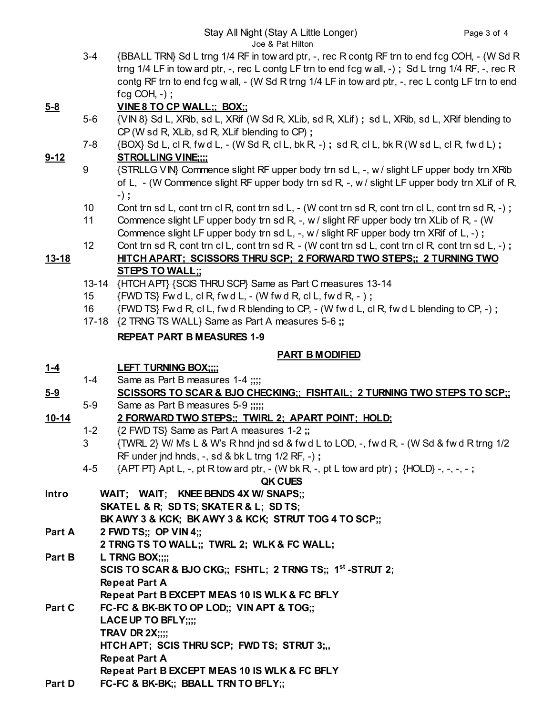#### Stay All Night (Stay A Little Longer) Page 3 of 4 Joe & Pat Hilton

 3-4 {BBALL TRN} Sd L trng 1/4 RF in tow ard ptr, -, rec R contg RF trn to end fcg COH, - (W Sd R trng 1/4 LF in tow ard ptr, -, rec L contg LF trn to end fcg w all, -) ; Sd L trng 1/4 RF, -, rec R contg RF trn to end fcg w all, - (W Sd R trng 1/4 LF in tow ard ptr, -, rec L contg LF trn to end  $fcg$  COH,  $-$ );

#### 5-8 VINE 8 TO CP WALL;; BOX;;

- 5-6 {VIN 8} Sd L, XRib, sd L, XRif (W Sd R, XLib, sd R, XLif) ; sd L, XRib, sd L, XRif blending to CP (W sd R, XLib, sd R, XLif blending to CP) ;
- 7-8  ${ \{BOX\} \text{Sd } L, \text{cl } R, \text{fwd } L, (W \text{Sd } R, \text{cl } L, \text{bk } R, -)}; \text{sd } R, \text{cl } L, \text{bk } R (W \text{sd } L, \text{cl } R, \text{fwd } L); }$ 9-12 STROLLING VINE;;;;
	- 9 {STRLLG VIN} Commence slight RF upper body trn sd L, -, w / slight LF upper body trn XRib of L,  $-$  (W Commence slight RF upper body trn sd R,  $-$ , w / slight LF upper body trn XLif of R, -) ;
	- 10 Cont trn sd L, cont trn cl R, cont trn sd L, (W cont trn sd R, cont trn cl L, cont trn sd R, -);
	- 11 Commence slight LF upper body trn sd R, -, w / slight RF upper body trn XLib of R, (W Commence slight LF upper body trn sd L, -, w / slight RF upper body trn XRif of L, -) ;
- 12 Cont trn sd R, cont trn cl L, cont trn sd R,  $-$  (W cont trn sd L, cont trn cl R, cont trn sd L,  $-$ ); 13-18 HITCH APART; SCISSORS THRU SCP; 2 FORWARD TWO STEPS;; 2 TURNING TWO STEPS TO WALL;;
	- 13-14 {HTCH APT} {SCIS THRU SCP} Same as Part C measures 13-14
	- 15  ${FWD}$  TS} Fw d L, cl R, fw d L,  $-$  (W fw d R, cl L, fw d R,  $-$  );
	- 16 {FWD TS} Fw d R, cl L, fw d R blending to CP, (W fw d L, cl R, fw d L blending to CP, -) ;
	- 17-18 {2 TRNG TS WALL} Same as Part A measures 5-6 ;;

#### REPEAT PART B MEASURES 1-9

#### PART B MODIFIED

#### 1-4 LEFT TURNING BOX;;;;

- 1-4 Same as Part B measures 1-4 ;;;;
- 5-9 SCISSORS TO SCAR & BJO CHECKING;; FISHTAIL; 2 TURNING TWO STEPS TO SCP;; 5-9 Same as Part B measures 5-9 ;;;;;

#### 10-14 2 FORWARD TWO STEPS;; TWIRL 2; APART POINT; HOLD;

- 1-2 {2 FWD TS} Same as Part A measures 1-2 ;;
	- 3 {TWRL 2} W/ M's L & W's R hnd jnd sd & fw d L to LOD, -, fw d R, (W Sd & fw d R trng 1/2 RF under jnd hnds, -, sd & bk L trng 1/2 RF, -) ;
	- 4-5  $\{APT PT\}$  Apt L, -, pt R tow ard ptr, (W bk R, -, pt L tow ard ptr) ;  $\{HOLD\}$  -, -, -, -; QK CUES
- Intro WAIT; WAIT; KNEE BENDS 4X W/ SNAPS;; SKATE L & R; SD TS; SKATE R & L; SD TS; BK AWY 3 & KCK; BK AWY 3 & KCK; STRUT TOG 4 TO SCP;; Part A 2 FWD TS;; OP VIN 4;; 2 TRNG TS TO WALL;; TWRL 2; WLK & FC WALL;
- Part B L TRNG BOX;;;; SCIS TO SCAR & BJO CKG;; FSHTL; 2 TRNG TS;; 1<sup>st</sup> -STRUT 2; Repeat Part A Repeat Part B EXCEPT MEAS 10 IS WLK & FC BFLY Part C FC-FC & BK-BK TO OP LOD;; VIN APT & TOG;; LACE UP TO BFLY;;;;
	- TRAV DR 2X;;;; HTCH APT; SCIS THRU SCP; FWD TS; STRUT 3;,, Repeat Part A Repeat Part B EXCEPT MEAS 10 IS WLK & FC BFLY
- Part D FC-FC & BK-BK;; BBALL TRN TO BFLY;;